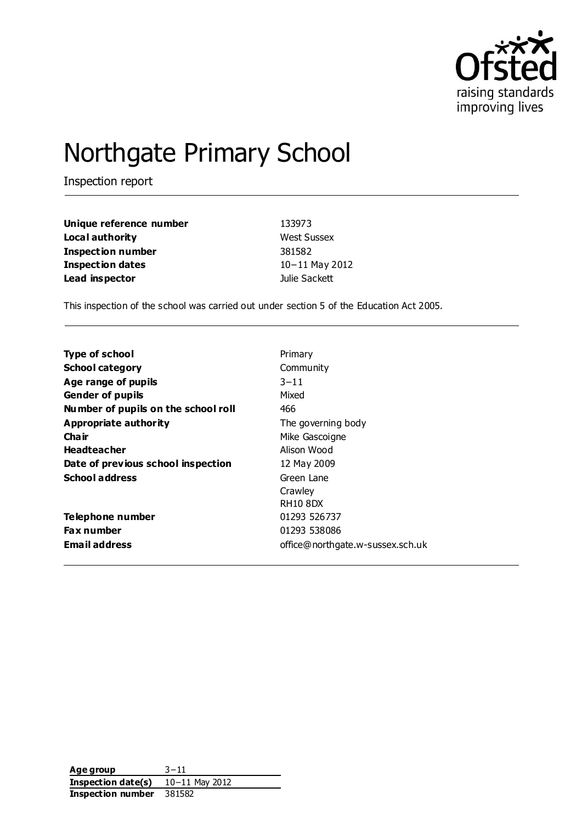

# Northgate Primary School

Inspection report

| Unique reference number  | 133973             |
|--------------------------|--------------------|
| Local authority          | <b>West Sussex</b> |
| <b>Inspection number</b> | 381582             |
| <b>Inspection dates</b>  | $10 - 11$ May 2012 |
| Lead inspector           | Julie Sackett      |

This inspection of the school was carried out under section 5 of the Education Act 2005.

| <b>Type of school</b>               | Primary                          |
|-------------------------------------|----------------------------------|
|                                     |                                  |
| <b>School category</b>              | Community                        |
| Age range of pupils                 | $3 - 11$                         |
| <b>Gender of pupils</b>             | Mixed                            |
| Number of pupils on the school roll | 466                              |
| Appropriate authority               | The governing body               |
| Cha ir                              | Mike Gascoigne                   |
| <b>Headteacher</b>                  | Alison Wood                      |
| Date of previous school inspection  | 12 May 2009                      |
| <b>School address</b>               | Green Lane                       |
|                                     | Crawley                          |
|                                     | <b>RH10 8DX</b>                  |
| Telephone number                    | 01293 526737                     |
| <b>Fax number</b>                   | 01293 538086                     |
| Email address                       | office@northgate.w-sussex.sch.uk |

**Age group** 3−11 **Inspection date(s)** 10−11 May 2012 **Inspection number** 381582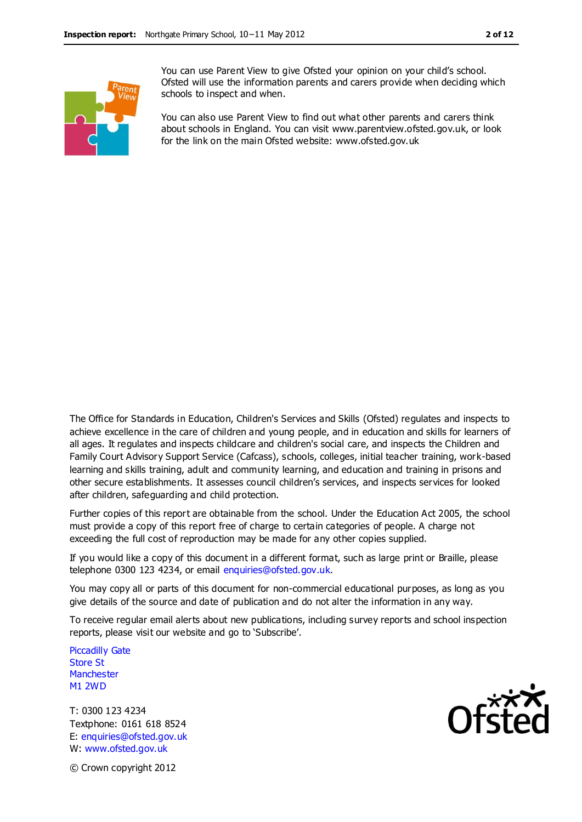

You can use Parent View to give Ofsted your opinion on your child's school. Ofsted will use the information parents and carers provide when deciding which schools to inspect and when.

You can also use Parent View to find out what other parents and carers think about schools in England. You can visit www.parentview.ofsted.gov.uk, or look for the link on the main Ofsted website: www.ofsted.gov.uk

The Office for Standards in Education, Children's Services and Skills (Ofsted) regulates and inspects to achieve excellence in the care of children and young people, and in education and skills for learners of all ages. It regulates and inspects childcare and children's social care, and inspects the Children and Family Court Advisory Support Service (Cafcass), schools, colleges, initial teacher training, work-based learning and skills training, adult and community learning, and education and training in prisons and other secure establishments. It assesses council children's services, and inspects services for looked after children, safeguarding and child protection.

Further copies of this report are obtainable from the school. Under the Education Act 2005, the school must provide a copy of this report free of charge to certain categories of people. A charge not exceeding the full cost of reproduction may be made for any other copies supplied.

If you would like a copy of this document in a different format, such as large print or Braille, please telephone 0300 123 4234, or email enquiries@ofsted.gov.uk.

You may copy all or parts of this document for non-commercial educational purposes, as long as you give details of the source and date of publication and do not alter the information in any way.

To receive regular email alerts about new publications, including survey reports and school inspection reports, please visit our website and go to 'Subscribe'.

Piccadilly Gate Store St **Manchester** M1 2WD

T: 0300 123 4234 Textphone: 0161 618 8524 E: enquiries@ofsted.gov.uk W: www.ofsted.gov.uk



© Crown copyright 2012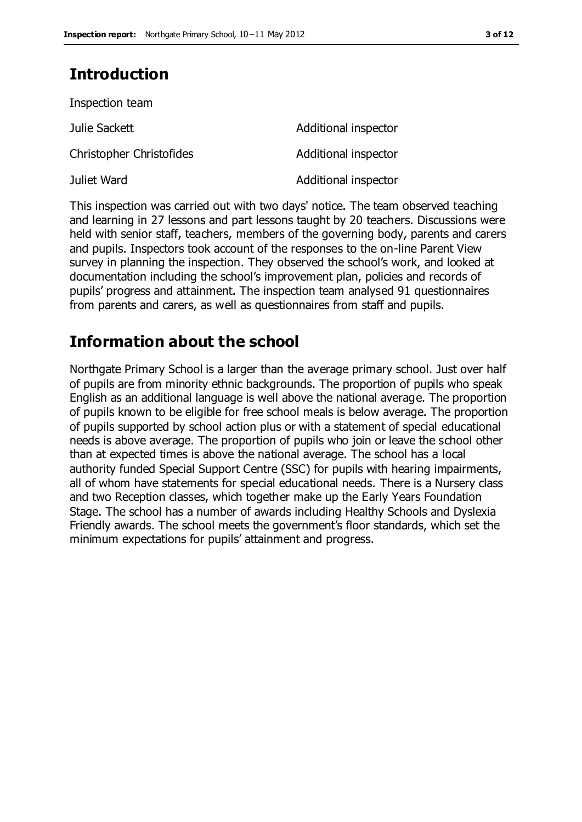# **Introduction**

| Inspection team          |                      |
|--------------------------|----------------------|
| Julie Sackett            | Additional inspector |
| Christopher Christofides | Additional inspector |
| Juliet Ward              | Additional inspector |

This inspection was carried out with two days' notice. The team observed teaching and learning in 27 lessons and part lessons taught by 20 teachers. Discussions were held with senior staff, teachers, members of the governing body, parents and carers and pupils. Inspectors took account of the responses to the on-line Parent View survey in planning the inspection. They observed the school's work, and looked at documentation including the school's improvement plan, policies and records of pupils' progress and attainment. The inspection team analysed 91 questionnaires from parents and carers, as well as questionnaires from staff and pupils.

## **Information about the school**

Northgate Primary School is a larger than the average primary school. Just over half of pupils are from minority ethnic backgrounds. The proportion of pupils who speak English as an additional language is well above the national average. The proportion of pupils known to be eligible for free school meals is below average. The proportion of pupils supported by school action plus or with a statement of special educational needs is above average. The proportion of pupils who join or leave the school other than at expected times is above the national average. The school has a local authority funded Special Support Centre (SSC) for pupils with hearing impairments, all of whom have statements for special educational needs. There is a Nursery class and two Reception classes, which together make up the Early Years Foundation Stage. The school has a number of awards including Healthy Schools and Dyslexia Friendly awards. The school meets the government's floor standards, which set the minimum expectations for pupils' attainment and progress.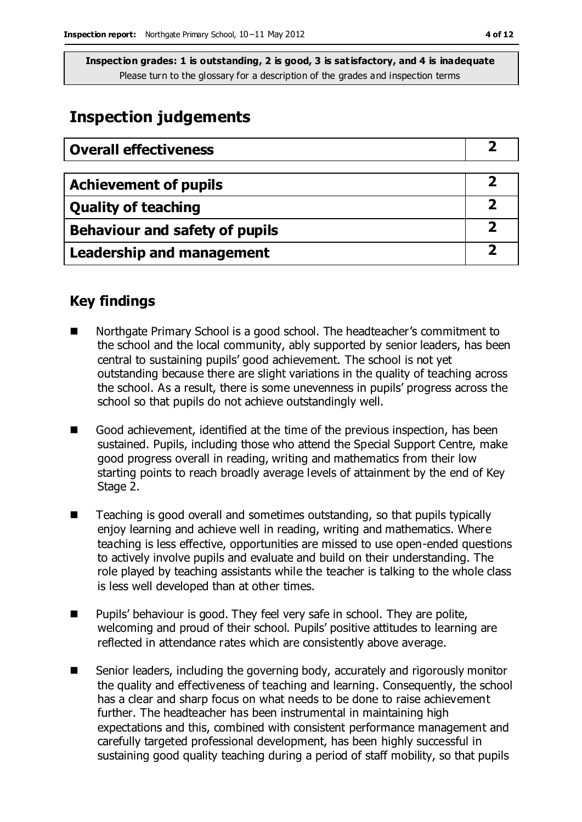## **Inspection judgements**

| <b>Overall effectiveness</b>          |  |
|---------------------------------------|--|
|                                       |  |
| <b>Achievement of pupils</b>          |  |
| <b>Quality of teaching</b>            |  |
| <b>Behaviour and safety of pupils</b> |  |
| <b>Leadership and management</b>      |  |

## **Key findings**

- Northgate Primary School is a good school. The headteacher's commitment to the school and the local community, ably supported by senior leaders, has been central to sustaining pupils' good achievement. The school is not yet outstanding because there are slight variations in the quality of teaching across the school. As a result, there is some unevenness in pupils' progress across the school so that pupils do not achieve outstandingly well.
- Good achievement, identified at the time of the previous inspection, has been sustained. Pupils, including those who attend the Special Support Centre, make good progress overall in reading, writing and mathematics from their low starting points to reach broadly average levels of attainment by the end of Key Stage 2.
- Teaching is good overall and sometimes outstanding, so that pupils typically enjoy learning and achieve well in reading, writing and mathematics. Where teaching is less effective, opportunities are missed to use open-ended questions to actively involve pupils and evaluate and build on their understanding. The role played by teaching assistants while the teacher is talking to the whole class is less well developed than at other times.
- **Pupils' behaviour is good. They feel very safe in school. They are polite,** welcoming and proud of their school. Pupils' positive attitudes to learning are reflected in attendance rates which are consistently above average.
- Senior leaders, including the governing body, accurately and rigorously monitor the quality and effectiveness of teaching and learning. Consequently, the school has a clear and sharp focus on what needs to be done to raise achievement further. The headteacher has been instrumental in maintaining high expectations and this, combined with consistent performance management and carefully targeted professional development, has been highly successful in sustaining good quality teaching during a period of staff mobility, so that pupils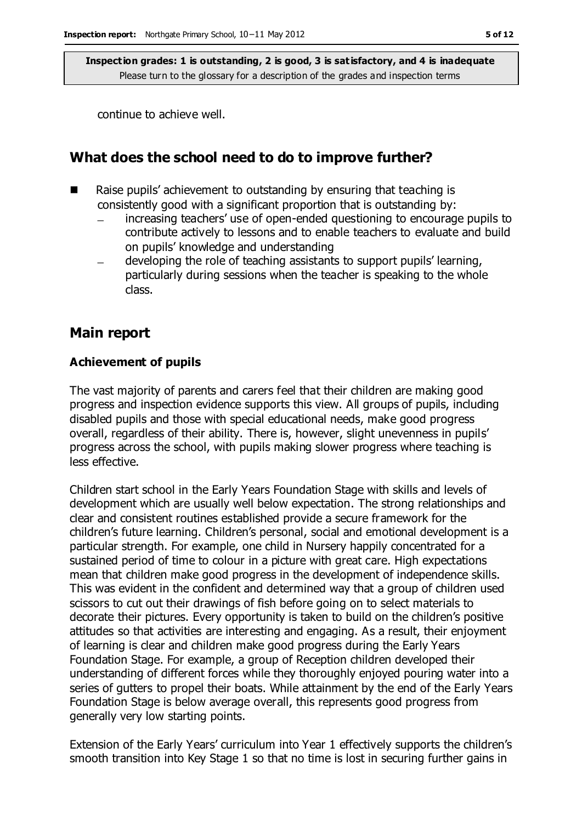continue to achieve well.

#### **What does the school need to do to improve further?**

- $\blacksquare$  Raise pupils' achievement to outstanding by ensuring that teaching is consistently good with a significant proportion that is outstanding by:
	- increasing teachers' use of open-ended questioning to encourage pupils to contribute actively to lessons and to enable teachers to evaluate and build on pupils' knowledge and understanding
	- developing the role of teaching assistants to support pupils' learning, particularly during sessions when the teacher is speaking to the whole class.

#### **Main report**

#### **Achievement of pupils**

The vast majority of parents and carers feel that their children are making good progress and inspection evidence supports this view. All groups of pupils, including disabled pupils and those with special educational needs, make good progress overall, regardless of their ability. There is, however, slight unevenness in pupils' progress across the school, with pupils making slower progress where teaching is less effective.

Children start school in the Early Years Foundation Stage with skills and levels of development which are usually well below expectation. The strong relationships and clear and consistent routines established provide a secure framework for the children's future learning. Children's personal, social and emotional development is a particular strength. For example, one child in Nursery happily concentrated for a sustained period of time to colour in a picture with great care. High expectations mean that children make good progress in the development of independence skills. This was evident in the confident and determined way that a group of children used scissors to cut out their drawings of fish before going on to select materials to decorate their pictures. Every opportunity is taken to build on the children's positive attitudes so that activities are interesting and engaging. As a result, their enjoyment of learning is clear and children make good progress during the Early Years Foundation Stage. For example, a group of Reception children developed their understanding of different forces while they thoroughly enjoyed pouring water into a series of gutters to propel their boats. While attainment by the end of the Early Years Foundation Stage is below average overall, this represents good progress from generally very low starting points.

Extension of the Early Years' curriculum into Year 1 effectively supports the children's smooth transition into Key Stage 1 so that no time is lost in securing further gains in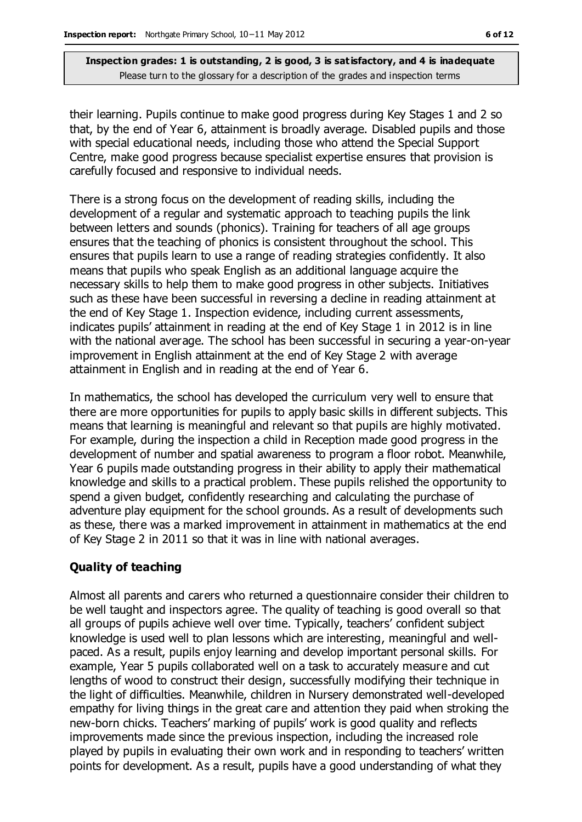their learning. Pupils continue to make good progress during Key Stages 1 and 2 so that, by the end of Year 6, attainment is broadly average. Disabled pupils and those with special educational needs, including those who attend the Special Support Centre, make good progress because specialist expertise ensures that provision is carefully focused and responsive to individual needs.

There is a strong focus on the development of reading skills, including the development of a regular and systematic approach to teaching pupils the link between letters and sounds (phonics). Training for teachers of all age groups ensures that the teaching of phonics is consistent throughout the school. This ensures that pupils learn to use a range of reading strategies confidently. It also means that pupils who speak English as an additional language acquire the necessary skills to help them to make good progress in other subjects. Initiatives such as these have been successful in reversing a decline in reading attainment at the end of Key Stage 1. Inspection evidence, including current assessments, indicates pupils' attainment in reading at the end of Key Stage 1 in 2012 is in line with the national average. The school has been successful in securing a year-on-year improvement in English attainment at the end of Key Stage 2 with average attainment in English and in reading at the end of Year 6.

In mathematics, the school has developed the curriculum very well to ensure that there are more opportunities for pupils to apply basic skills in different subjects. This means that learning is meaningful and relevant so that pupils are highly motivated. For example, during the inspection a child in Reception made good progress in the development of number and spatial awareness to program a floor robot. Meanwhile, Year 6 pupils made outstanding progress in their ability to apply their mathematical knowledge and skills to a practical problem. These pupils relished the opportunity to spend a given budget, confidently researching and calculating the purchase of adventure play equipment for the school grounds. As a result of developments such as these, there was a marked improvement in attainment in mathematics at the end of Key Stage 2 in 2011 so that it was in line with national averages.

#### **Quality of teaching**

Almost all parents and carers who returned a questionnaire consider their children to be well taught and inspectors agree. The quality of teaching is good overall so that all groups of pupils achieve well over time. Typically, teachers' confident subject knowledge is used well to plan lessons which are interesting, meaningful and wellpaced. As a result, pupils enjoy learning and develop important personal skills. For example, Year 5 pupils collaborated well on a task to accurately measure and cut lengths of wood to construct their design, successfully modifying their technique in the light of difficulties. Meanwhile, children in Nursery demonstrated well-developed empathy for living things in the great care and attention they paid when stroking the new-born chicks. Teachers' marking of pupils' work is good quality and reflects improvements made since the previous inspection, including the increased role played by pupils in evaluating their own work and in responding to teachers' written points for development. As a result, pupils have a good understanding of what they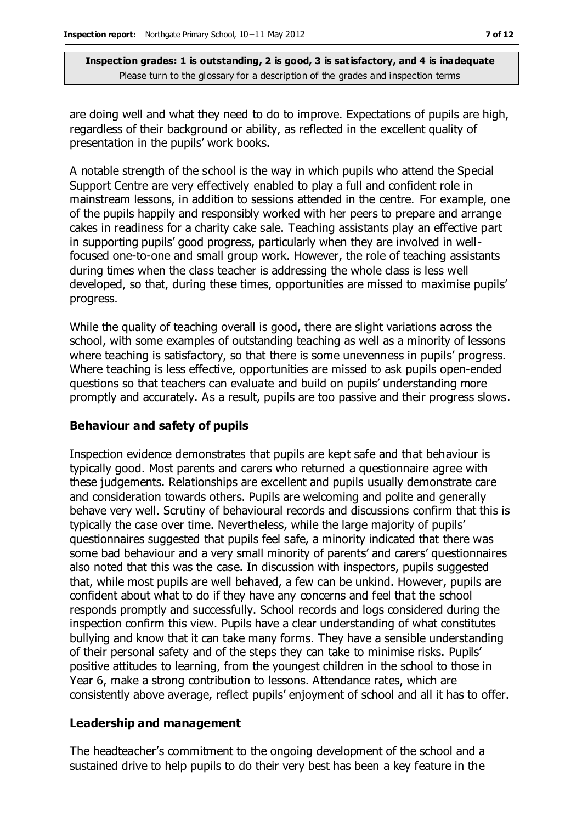are doing well and what they need to do to improve. Expectations of pupils are high, regardless of their background or ability, as reflected in the excellent quality of presentation in the pupils' work books.

A notable strength of the school is the way in which pupils who attend the Special Support Centre are very effectively enabled to play a full and confident role in mainstream lessons, in addition to sessions attended in the centre. For example, one of the pupils happily and responsibly worked with her peers to prepare and arrange cakes in readiness for a charity cake sale. Teaching assistants play an effective part in supporting pupils' good progress, particularly when they are involved in wellfocused one-to-one and small group work. However, the role of teaching assistants during times when the class teacher is addressing the whole class is less well developed, so that, during these times, opportunities are missed to maximise pupils' progress.

While the quality of teaching overall is good, there are slight variations across the school, with some examples of outstanding teaching as well as a minority of lessons where teaching is satisfactory, so that there is some unevenness in pupils' progress. Where teaching is less effective, opportunities are missed to ask pupils open-ended questions so that teachers can evaluate and build on pupils' understanding more promptly and accurately. As a result, pupils are too passive and their progress slows.

#### **Behaviour and safety of pupils**

Inspection evidence demonstrates that pupils are kept safe and that behaviour is typically good. Most parents and carers who returned a questionnaire agree with these judgements. Relationships are excellent and pupils usually demonstrate care and consideration towards others. Pupils are welcoming and polite and generally behave very well. Scrutiny of behavioural records and discussions confirm that this is typically the case over time. Nevertheless, while the large majority of pupils' questionnaires suggested that pupils feel safe, a minority indicated that there was some bad behaviour and a very small minority of parents' and carers' questionnaires also noted that this was the case. In discussion with inspectors, pupils suggested that, while most pupils are well behaved, a few can be unkind. However, pupils are confident about what to do if they have any concerns and feel that the school responds promptly and successfully. School records and logs considered during the inspection confirm this view. Pupils have a clear understanding of what constitutes bullying and know that it can take many forms. They have a sensible understanding of their personal safety and of the steps they can take to minimise risks. Pupils' positive attitudes to learning, from the youngest children in the school to those in Year 6, make a strong contribution to lessons. Attendance rates, which are consistently above average, reflect pupils' enjoyment of school and all it has to offer.

#### **Leadership and management**

The headteacher's commitment to the ongoing development of the school and a sustained drive to help pupils to do their very best has been a key feature in the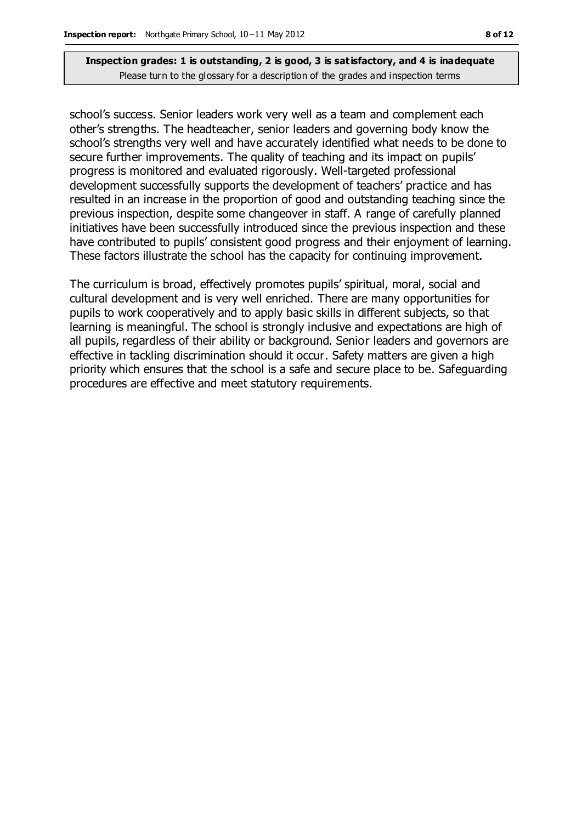school's success. Senior leaders work very well as a team and complement each other's strengths. The headteacher, senior leaders and governing body know the school's strengths very well and have accurately identified what needs to be done to secure further improvements. The quality of teaching and its impact on pupils' progress is monitored and evaluated rigorously. Well-targeted professional development successfully supports the development of teachers' practice and has resulted in an increase in the proportion of good and outstanding teaching since the previous inspection, despite some changeover in staff. A range of carefully planned initiatives have been successfully introduced since the previous inspection and these have contributed to pupils' consistent good progress and their enjoyment of learning. These factors illustrate the school has the capacity for continuing improvement.

The curriculum is broad, effectively promotes pupils' spiritual, moral, social and cultural development and is very well enriched. There are many opportunities for pupils to work cooperatively and to apply basic skills in different subjects, so that learning is meaningful. The school is strongly inclusive and expectations are high of all pupils, regardless of their ability or background. Senior leaders and governors are effective in tackling discrimination should it occur. Safety matters are given a high priority which ensures that the school is a safe and secure place to be. Safeguarding procedures are effective and meet statutory requirements.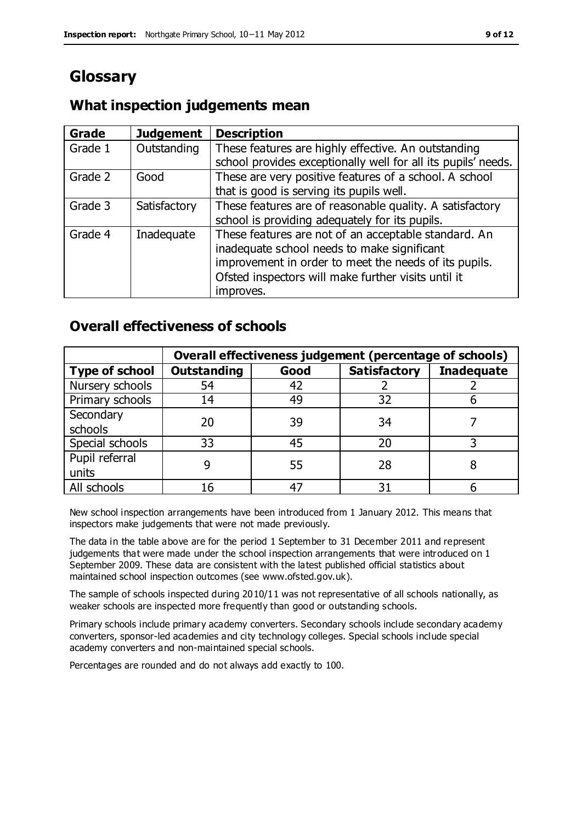# **Glossary**

## **What inspection judgements mean**

| Grade   | <b>Judgement</b> | <b>Description</b>                                            |
|---------|------------------|---------------------------------------------------------------|
| Grade 1 | Outstanding      | These features are highly effective. An outstanding           |
|         |                  | school provides exceptionally well for all its pupils' needs. |
| Grade 2 | Good             | These are very positive features of a school. A school        |
|         |                  | that is good is serving its pupils well.                      |
| Grade 3 | Satisfactory     | These features are of reasonable quality. A satisfactory      |
|         |                  | school is providing adequately for its pupils.                |
| Grade 4 | Inadequate       | These features are not of an acceptable standard. An          |
|         |                  | inadequate school needs to make significant                   |
|         |                  | improvement in order to meet the needs of its pupils.         |
|         |                  | Ofsted inspectors will make further visits until it           |
|         |                  | improves.                                                     |

## **Overall effectiveness of schools**

|                       | Overall effectiveness judgement (percentage of schools) |      |                     |                   |
|-----------------------|---------------------------------------------------------|------|---------------------|-------------------|
| <b>Type of school</b> | <b>Outstanding</b>                                      | Good | <b>Satisfactory</b> | <b>Inadequate</b> |
| Nursery schools       | 54                                                      | 42   |                     |                   |
| Primary schools       | 14                                                      | 49   | 32                  |                   |
| Secondary             | 20                                                      | 39   | 34                  |                   |
| schools               |                                                         |      |                     |                   |
| Special schools       | 33                                                      | 45   | 20                  |                   |
| Pupil referral        |                                                         | 55   | 28                  |                   |
| units                 |                                                         |      |                     |                   |
| All schools           | 16                                                      | 47   | 31                  |                   |

New school inspection arrangements have been introduced from 1 January 2012. This means that inspectors make judgements that were not made previously.

The data in the table above are for the period 1 September to 31 December 2011 and represent judgements that were made under the school inspection arrangements that were introduced on 1 September 2009. These data are consistent with the latest published official statistics about maintained school inspection outcomes (see www.ofsted.gov.uk).

The sample of schools inspected during 2010/11 was not representative of all schools nationally, as weaker schools are inspected more frequently than good or outstanding schools.

Primary schools include primary academy converters. Secondary schools include secondary academy converters, sponsor-led academies and city technology colleges. Special schools include special academy converters and non-maintained special schools.

Percentages are rounded and do not always add exactly to 100.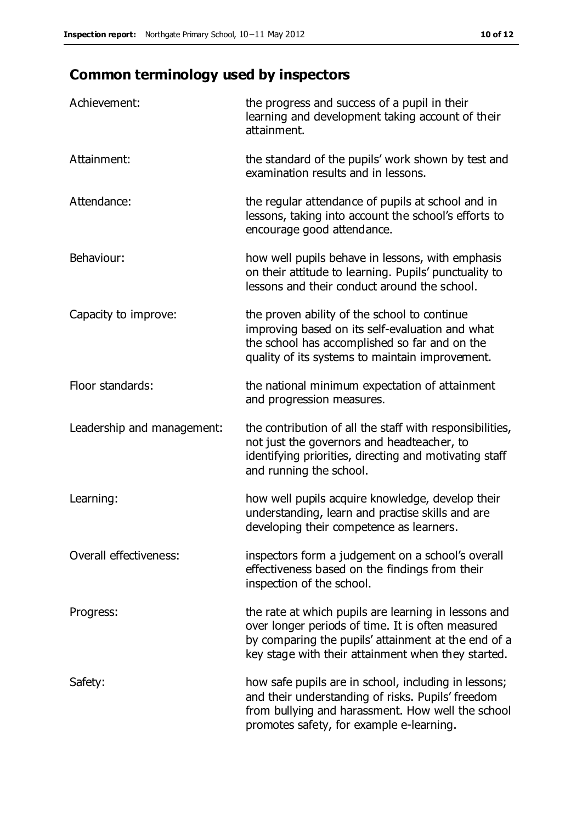# **Common terminology used by inspectors**

| Achievement:                  | the progress and success of a pupil in their<br>learning and development taking account of their<br>attainment.                                                                                                        |
|-------------------------------|------------------------------------------------------------------------------------------------------------------------------------------------------------------------------------------------------------------------|
| Attainment:                   | the standard of the pupils' work shown by test and<br>examination results and in lessons.                                                                                                                              |
| Attendance:                   | the regular attendance of pupils at school and in<br>lessons, taking into account the school's efforts to<br>encourage good attendance.                                                                                |
| Behaviour:                    | how well pupils behave in lessons, with emphasis<br>on their attitude to learning. Pupils' punctuality to<br>lessons and their conduct around the school.                                                              |
| Capacity to improve:          | the proven ability of the school to continue<br>improving based on its self-evaluation and what<br>the school has accomplished so far and on the<br>quality of its systems to maintain improvement.                    |
| Floor standards:              | the national minimum expectation of attainment<br>and progression measures.                                                                                                                                            |
| Leadership and management:    | the contribution of all the staff with responsibilities,<br>not just the governors and headteacher, to<br>identifying priorities, directing and motivating staff<br>and running the school.                            |
| Learning:                     | how well pupils acquire knowledge, develop their<br>understanding, learn and practise skills and are<br>developing their competence as learners.                                                                       |
| <b>Overall effectiveness:</b> | inspectors form a judgement on a school's overall<br>effectiveness based on the findings from their<br>inspection of the school.                                                                                       |
| Progress:                     | the rate at which pupils are learning in lessons and<br>over longer periods of time. It is often measured<br>by comparing the pupils' attainment at the end of a<br>key stage with their attainment when they started. |
| Safety:                       | how safe pupils are in school, including in lessons;<br>and their understanding of risks. Pupils' freedom<br>from bullying and harassment. How well the school<br>promotes safety, for example e-learning.             |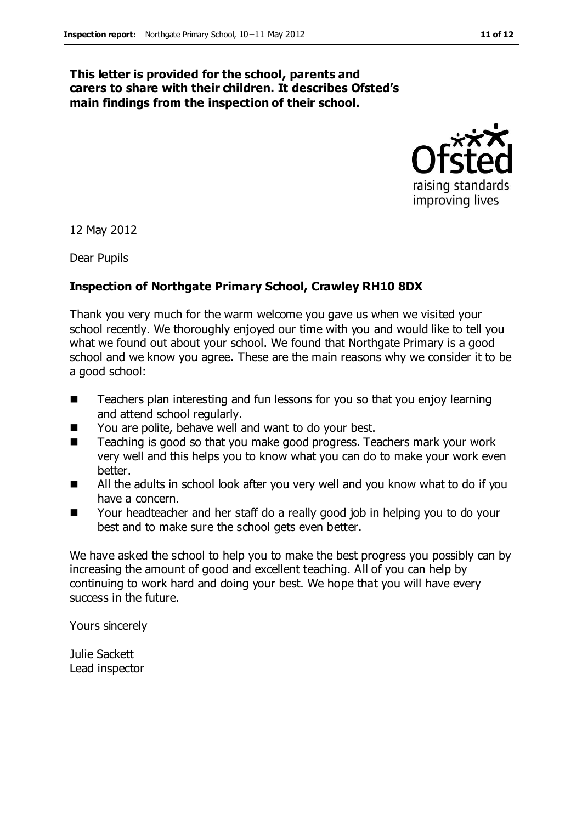#### **This letter is provided for the school, parents and carers to share with their children. It describes Ofsted's main findings from the inspection of their school.**



12 May 2012

Dear Pupils

#### **Inspection of Northgate Primary School, Crawley RH10 8DX**

Thank you very much for the warm welcome you gave us when we visited your school recently. We thoroughly enjoyed our time with you and would like to tell you what we found out about your school. We found that Northgate Primary is a good school and we know you agree. These are the main reasons why we consider it to be a good school:

- Teachers plan interesting and fun lessons for you so that you enjoy learning and attend school regularly.
- You are polite, behave well and want to do your best.
- Teaching is good so that you make good progress. Teachers mark your work very well and this helps you to know what you can do to make your work even better.
- All the adults in school look after you very well and you know what to do if you have a concern.
- Your headteacher and her staff do a really good job in helping you to do your best and to make sure the school gets even better.

We have asked the school to help you to make the best progress you possibly can by increasing the amount of good and excellent teaching. All of you can help by continuing to work hard and doing your best. We hope that you will have every success in the future.

Yours sincerely

Julie Sackett Lead inspector